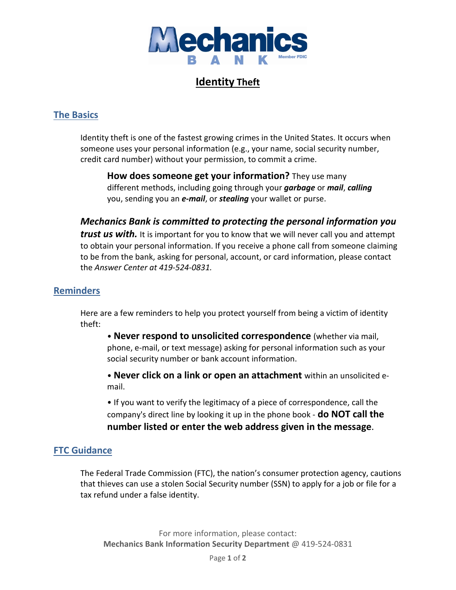

# **Identity Theft**

### **The Basics**

Identity theft is one of the fastest growing crimes in the United States. It occurs when someone uses your personal information (e.g., your name, social security number, credit card number) without your permission, to commit a crime.

**How does someone get your information?** They use many different methods, including going through your *garbage* or *mail*, *calling* you, sending you an *e-mail*, or *stealing* your wallet or purse.

### *Mechanics Bank is committed to protecting the personal information you*

*trust us with.* It is important for you to know that we will never call you and attempt to obtain your personal information. If you receive a phone call from someone claiming to be from the bank, asking for personal, account, or card information, please contact the *Answer Center at 419-524-0831.*

### **Reminders**

Here are a few reminders to help you protect yourself from being a victim of identity theft:

• **Never respond to unsolicited correspondence** (whether via mail, phone, e-mail, or text message) asking for personal information such as your social security number or bank account information.

• **Never click on a link or open an attachment** within an unsolicited email.

• If you want to verify the legitimacy of a piece of correspondence, call the company's direct line by looking it up in the phone book - **do NOT call the number listed or enter the web address given in the message**.

### **FTC Guidance**

The Federal Trade Commission (FTC), the nation's consumer protection agency, cautions that thieves can use a stolen Social Security number (SSN) to apply for a job or file for a tax refund under a false identity.

For more information, please contact: **Mechanics Bank Information Security Department** @ 419-524-0831